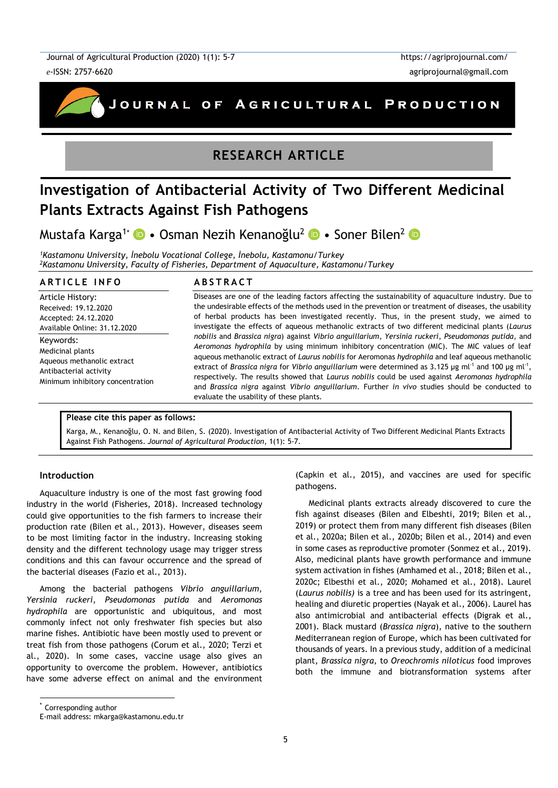Journal of Agricultural Production (2020) 1(1): 5-7 *e*-ISSN: 2757-6620



# **RESEARCH ARTICLE**

# **Investigation of Antibacterial Activity of Two Different Medicinal Plants Extracts Against Fish Pathogens**

Mustafa Karga<sup>1\*</sup> • Osman Nezih Kenanoğlu<sup>2</sup> • Soner Bilen<sup>2</sup> •

*<sup>1</sup>Kastamonu University, İnebolu Vocational College, İnebolu, Kastamonu/Turkey <sup>2</sup>Kastamonu University, Faculty of Fisheries, Department of Aquaculture, Kastamonu/Turkey*

#### **A R T I C L E I N F O**

Article History: Received: 19.12.2020 Accepted: 24.12.2020 Available Online: 31.12.2020

Keywords: Medicinal plants Aqueous methanolic extract Antibacterial activity Minimum inhibitory concentration

#### **A B S T R A C T**

Diseases are one of the leading factors affecting the sustainability of aquaculture industry. Due to the undesirable effects of the methods used in the prevention or treatment of diseases, the usability of herbal products has been investigated recently. Thus, in the present study, we aimed to investigate the effects of aqueous methanolic extracts of two different medicinal plants (*Laurus nobilis* and *Brassica nigra*) against *Vibrio anguillarium*, *Yersinia ruckeri*, *Pseudomonas putida,* and *Aeromonas hydrophila* by using minimum inhibitory concentration (MIC). The MIC values of leaf aqueous methanolic extract of *Laurus nobilis* for Aeromonas *hydrophila* and leaf aqueous methanolic extract of *Brassica nigra* for *Vibrio anguillarium* were determined as 3.125 µg ml<sup>-1</sup> and 100 µg ml<sup>-1</sup>, respectively. The results showed that *Laurus nobilis* could be used against *Aeromonas hydrophila* and *Brassica nigra* against *Vibrio anguillarium*. Further *in vivo* studies should be conducted to evaluate the usability of these plants.

#### **Please cite this paper as follows:**

Karga, M., Kenanoğlu, O. N. and Bilen, S. (2020). Investigation of Antibacterial Activity of Two Different Medicinal Plants Extracts Against Fish Pathogens. *Journal of Agricultural Production*, 1(1): 5-7.

#### **Introduction**

Aquaculture industry is one of the most fast growing food industry in the world (Fisheries, 2018). Increased technology could give opportunities to the fish farmers to increase their production rate (Bilen et al., 2013). However, diseases seem to be most limiting factor in the industry. Increasing stoking density and the different technology usage may trigger stress conditions and this can favour occurrence and the spread of the bacterial diseases (Fazio et al., 2013).

Among the bacterial pathogens *Vibrio anguillarium*, *Yersinia ruckeri*, *Pseudomonas putida* and *Aeromonas hydrophila* are opportunistic and ubiquitous, and most commonly infect not only freshwater fish species but also marine fishes. Antibiotic have been mostly used to prevent or treat fish from those pathogens (Corum et al., 2020; Terzi et al., 2020). In some cases, vaccine usage also gives an opportunity to overcome the problem. However, antibiotics have some adverse effect on animal and the environment (Capkin et al., 2015), and vaccines are used for specific pathogens.

Medicinal plants extracts already discovered to cure the fish against diseases (Bilen and Elbeshti, 2019; Bilen et al., 2019) or protect them from many different fish diseases (Bilen et al., 2020a; Bilen et al., 2020b; Bilen et al., 2014) and even in some cases as reproductive promoter (Sonmez et al., 2019). Also, medicinal plants have growth performance and immune system activation in fishes (Amhamed et al., 2018; Bilen et al., 2020c; Elbesthi et al., 2020; Mohamed et al., 2018). Laurel (*Laurus nobilis)* is a tree and has been used for its astringent, healing and diuretic properties (Nayak et al., 2006). Laurel has also antimicrobial and antibacterial effects (Digrak et al., 2001). Black mustard (*Brassica nigra*), native to the southern Mediterranean region of Europe, which has been cultivated for thousands of years. In a previous study, addition of a medicinal plant, *Brassica nigra*, to *Oreochromis niloticus* food improves both the immune and biotransformation systems after

Corresponding author

l

E-mail address: mkarga@kastamonu.edu.tr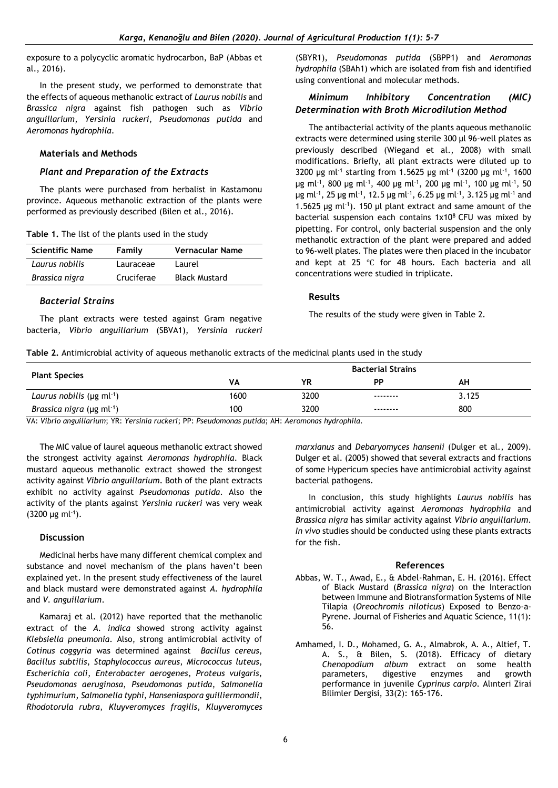exposure to a polycyclic aromatic hydrocarbon, BaP (Abbas et al., 2016).

In the present study, we performed to demonstrate that the effects of aqueous methanolic extract of *Laurus nobilis* and *Brassica nigra* against fish pathogen such as *Vibrio anguillarium*, *Yersinia ruckeri*, *Pseudomonas putida* and *Aeromonas hydrophila*.

### **Materials and Methods**

#### *Plant and Preparation of the Extracts*

The plants were purchased from herbalist in Kastamonu province. Aqueous methanolic extraction of the plants were performed as previously described (Bilen et al., 2016).

|  | Table 1. The list of the plants used in the study |  |  |  |
|--|---------------------------------------------------|--|--|--|
|--|---------------------------------------------------|--|--|--|

| <b>Scientific Name</b> | Family     | <b>Vernacular Name</b> |
|------------------------|------------|------------------------|
| Laurus nobilis         | Lauraceae  | Laurel                 |
| Brassica nigra         | Cruciferae | <b>Black Mustard</b>   |

# *Bacterial Strains*

The plant extracts were tested against Gram negative bacteria, *Vibrio anguillarium* (SBVA1), *Yersinia ruckeri*  (SBYR1), *Pseudomonas putida* (SBPP1) and *Aeromonas hydrophila* (SBAh1) which are isolated from fish and identified using conventional and molecular methods.

# *Minimum Inhibitory Concentration (MIC) Determination with Broth Microdilution Method*

The antibacterial activity of the plants aqueous methanolic extracts were determined using sterile 300 µl 96-well plates as previously described (Wiegand et al., 2008) with small modifications. Briefly, all plant extracts were diluted up to 3200 µg ml<sup>-1</sup> starting from 1.5625 µg ml<sup>-1</sup> (3200 µg ml<sup>-1</sup>, 1600 μg ml<sup>-1</sup>, 800 μg ml<sup>-1</sup>, 400 μg ml<sup>-1</sup>, 200 μg ml<sup>-1</sup>, 100 μg ml<sup>-1</sup>, 50 μg ml<sup>-1</sup>, 25 μg ml<sup>-1</sup>, 12.5 μg ml<sup>-1</sup>, 6.25 μg ml<sup>-1</sup>, 3.125 μg ml<sup>-1</sup> and 1.5625  $\mu$ g ml<sup>-1</sup>). 150  $\mu$ l plant extract and same amount of the bacterial suspension each contains  $1x10<sup>8</sup>$  CFU was mixed by pipetting. For control, only bacterial suspension and the only methanolic extraction of the plant were prepared and added to 96-well plates. The plates were then placed in the incubator and kept at 25 ℃ for 48 hours. Each bacteria and all concentrations were studied in triplicate.

# **Results**

The results of the study were given in Table 2.

**Table 2.** Antimicrobial activity of aqueous methanolic extracts of the medicinal plants used in the study

|                                                      | <b>Bacterial Strains</b> |      |           |       |
|------------------------------------------------------|--------------------------|------|-----------|-------|
| <b>Plant Species</b>                                 | VA                       | ΥR   | <b>PP</b> | АН    |
| Laurus nobilis ( $\mu$ g m $\lambda$ <sup>-1</sup> ) | 1600                     | 3200 | --------  | 3.125 |
| <i>Brassica nigra</i> ( $\mu$ g ml <sup>-1</sup> )   | 100                      | 3200 | --------  | 800   |

VA: *Vibrio anguillarium*; YR: *Yersinia ruckeri*; PP: *Pseudomonas putida*; AH: *Aeromonas hydrophila*.

The MIC value of laurel aqueous methanolic extract showed the strongest activity against *Aeromonas hydrophila*. Black mustard aqueous methanolic extract showed the strongest activity against *Vibrio anguillarium*. Both of the plant extracts exhibit no activity against *Pseudomonas putida*. Also the activity of the plants against *Yersinia ruckeri* was very weak  $(3200 \ \mu g \ m l^{-1}).$ 

#### **Discussion**

Medicinal herbs have many different chemical complex and substance and novel mechanism of the plans haven't been explained yet. In the present study effectiveness of the laurel and black mustard were demonstrated against *A. hydrophila* and *V. anguillarium*.

Kamaraj et al. (2012) have reported that the methanolic extract of the *A. indica* showed strong activity against *Klebsiella pneumonia*. Also, strong antimicrobial activity of *Cotinus coggyria* was determined against *Bacillus cereus*, *Bacillus subtilis*, *Staphylococcus aureus*, *Micrococcus luteus*, *Escherichia coli*, *Enterobacter aerogenes*, *Proteus vulgaris*, *Pseudomonas aeruginosa*, *Pseudomonas putida*, *Salmonella typhimurium*, *Salmonella typhi*, *Hanseniaspora guilliermondii*, *Rhodotorula rubra*, *Kluyveromyces fragilis*, *Kluyveromyces* 

*marxianus* and *Debaryomyces hansenii* (Dulger et al., 2009). Dulger et al. (2005) showed that several extracts and fractions of some Hypericum species have antimicrobial activity against bacterial pathogens.

In conclusion, this study highlights *Laurus nobilis* has antimicrobial activity against *Aeromonas hydrophila* and *Brassica nigra* has similar activity against *Vibrio anguillarium*. *In vivo* studies should be conducted using these plants extracts for the fish.

#### **References**

- Abbas, W. T., Awad, E., & Abdel-Rahman, E. H. (2016). Effect of Black Mustard (*Brassica nigra*) on the Interaction between Immune and Biotransformation Systems of Nile Tilapia (*Oreochromis niloticus*) Exposed to Benzo-a-Pyrene. Journal of Fisheries and Aquatic Science, 11(1): 56.
- Amhamed, I. D., Mohamed, G. A., Almabrok, A. A., Altief, T. A. S., & Bilen, S. (2018). Efficacy of dietary *Chenopodium album* extract on some health parameters, digestive enzymes and growth performance in juvenile *Cyprinus carpio*. Alınteri Zirai Bilimler Dergisi, 33(2): 165-176.